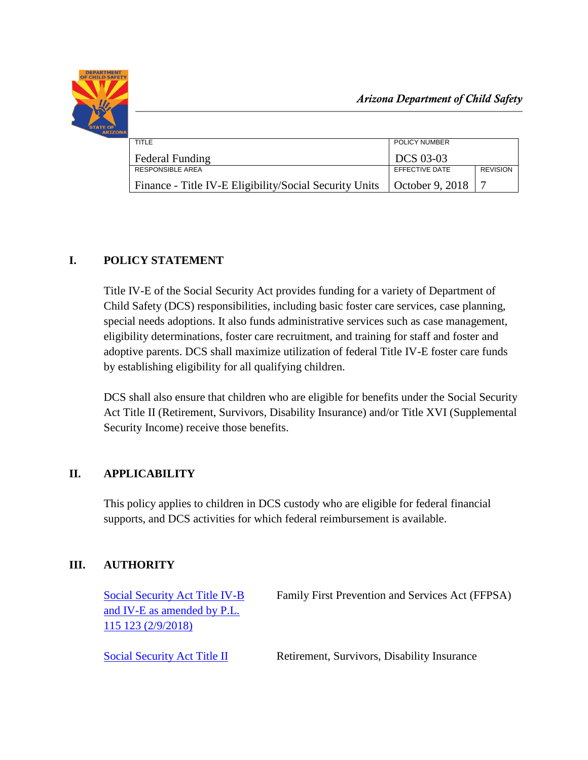

*Arizona Department of Child Safety*

| TITI F                                                                   | POLICY NUMBER  |                 |
|--------------------------------------------------------------------------|----------------|-----------------|
| <b>Federal Funding</b>                                                   | DCS 03-03      |                 |
| <b>RESPONSIBLE AREA</b>                                                  | EFFECTIVE DATE | <b>REVISION</b> |
| Finance - Title IV-E Eligibility/Social Security Units   October 9, 2018 |                |                 |

# **I. POLICY STATEMENT**

Title IV-E of the Social Security Act provides funding for a variety of Department of Child Safety (DCS) responsibilities, including basic foster care services, case planning, special needs adoptions. It also funds administrative services such as case management, eligibility determinations, foster care recruitment, and training for staff and foster and adoptive parents. DCS shall maximize utilization of federal Title IV-E foster care funds by establishing eligibility for all qualifying children.

DCS shall also ensure that children who are eligible for benefits under the Social Security Act Title II (Retirement, Survivors, Disability Insurance) and/or Title XVI (Supplemental Security Income) receive those benefits.

## **II. APPLICABILITY**

This policy applies to children in DCS custody who are eligible for federal financial supports, and DCS activities for which federal reimbursement is available.

# **III. AUTHORITY**

| Social Security Act Title IV-B<br>and IV-E as amended by P.L. | Family First Prevention and Services Act (FFPSA) |
|---------------------------------------------------------------|--------------------------------------------------|
| 115 123 (2/9/2018)                                            |                                                  |
| Social Security Act Title II                                  | Retirement, Survivors, Disability Insurance      |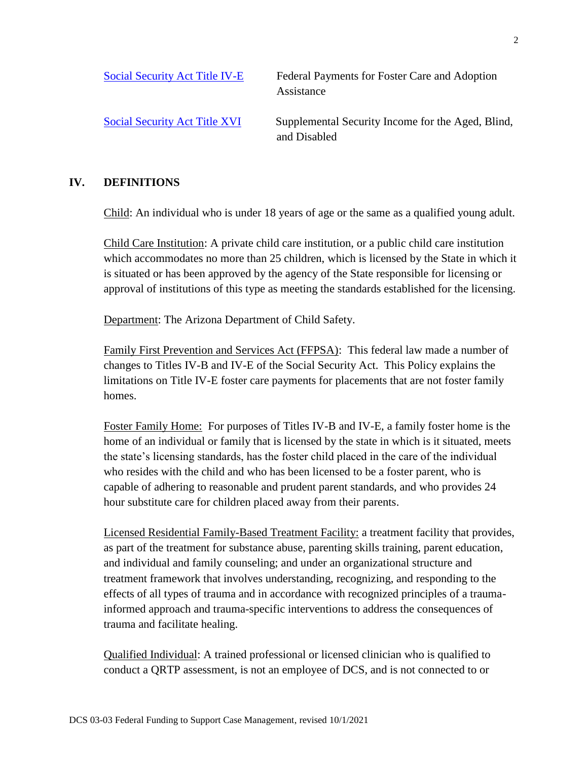| Social Security Act Title IV-E       | Federal Payments for Foster Care and Adoption<br>Assistance       |
|--------------------------------------|-------------------------------------------------------------------|
| <b>Social Security Act Title XVI</b> | Supplemental Security Income for the Aged, Blind,<br>and Disabled |

#### **IV. DEFINITIONS**

Child: An individual who is under 18 years of age or the same as a qualified young adult.

Child Care Institution: A private child care institution, or a public child care institution which accommodates no more than 25 children, which is licensed by the State in which it is situated or has been approved by the agency of the State responsible for licensing or approval of institutions of this type as meeting the standards established for the licensing.

Department: The Arizona Department of Child Safety.

Family First Prevention and Services Act (FFPSA): This federal law made a number of changes to Titles IV-B and IV-E of the Social Security Act. This Policy explains the limitations on Title IV-E foster care payments for placements that are not foster family homes.

Foster Family Home: For purposes of Titles IV-B and IV-E, a family foster home is the home of an individual or family that is licensed by the state in which is it situated, meets the state's licensing standards, has the foster child placed in the care of the individual who resides with the child and who has been licensed to be a foster parent, who is capable of adhering to reasonable and prudent parent standards, and who provides 24 hour substitute care for children placed away from their parents.

Licensed Residential Family-Based Treatment Facility: a treatment facility that provides, as part of the treatment for substance abuse, parenting skills training, parent education, and individual and family counseling; and under an organizational structure and treatment framework that involves understanding, recognizing, and responding to the effects of all types of trauma and in accordance with recognized principles of a traumainformed approach and trauma-specific interventions to address the consequences of trauma and facilitate healing.

Qualified Individual: A trained professional or licensed clinician who is qualified to conduct a QRTP assessment, is not an employee of DCS, and is not connected to or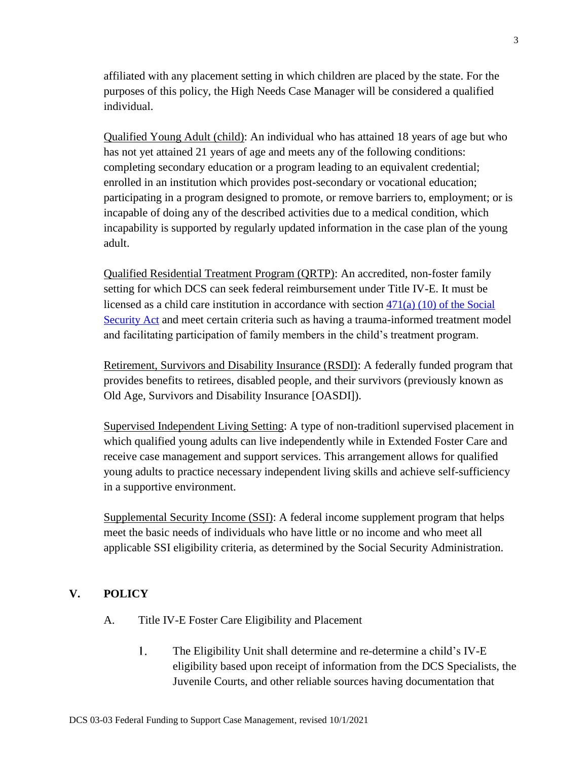affiliated with any placement setting in which children are placed by the state. For the purposes of this policy, the High Needs Case Manager will be considered a qualified individual.

Qualified Young Adult (child): An individual who has attained 18 years of age but who has not yet attained 21 years of age and meets any of the following conditions: completing secondary education or a program leading to an equivalent credential; enrolled in an institution which provides post-secondary or vocational education; participating in a program designed to promote, or remove barriers to, employment; or is incapable of doing any of the described activities due to a medical condition, which incapability is supported by regularly updated information in the case plan of the young adult.

Qualified Residential Treatment Program (QRTP): An accredited, non-foster family setting for which DCS can seek federal reimbursement under Title IV-E. It must be licensed as a child care institution in accordance with section [471\(a\) \(10\) of the Social](https://www.ssa.gov/OP_Home/ssact/title04/0471.htm)  [Security Act](https://www.ssa.gov/OP_Home/ssact/title04/0471.htm) and meet certain criteria such as having a trauma-informed treatment model and facilitating participation of family members in the child's treatment program.

Retirement, Survivors and Disability Insurance (RSDI): A federally funded program that provides benefits to retirees, disabled people, and their survivors (previously known as Old Age, Survivors and Disability Insurance [OASDI]).

Supervised Independent Living Setting: A type of non-traditionl supervised placement in which qualified young adults can live independently while in Extended Foster Care and receive case management and support services. This arrangement allows for qualified young adults to practice necessary independent living skills and achieve self-sufficiency in a supportive environment.

Supplemental Security Income (SSI): A federal income supplement program that helps meet the basic needs of individuals who have little or no income and who meet all applicable SSI eligibility criteria, as determined by the Social Security Administration.

## **V. POLICY**

- A. Title IV-E Foster Care Eligibility and Placement
	- $1<sub>1</sub>$ The Eligibility Unit shall determine and re-determine a child's IV-E eligibility based upon receipt of information from the DCS Specialists, the Juvenile Courts, and other reliable sources having documentation that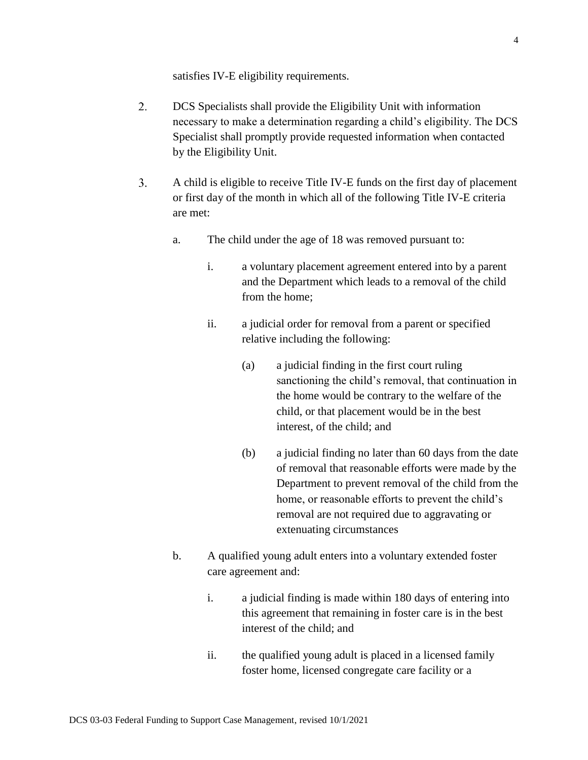satisfies IV-E eligibility requirements.

- $2.$ DCS Specialists shall provide the Eligibility Unit with information necessary to make a determination regarding a child's eligibility. The DCS Specialist shall promptly provide requested information when contacted by the Eligibility Unit.
- $3.$ A child is eligible to receive Title IV-E funds on the first day of placement or first day of the month in which all of the following Title IV-E criteria are met:
	- a. The child under the age of 18 was removed pursuant to:
		- i. a voluntary placement agreement entered into by a parent and the Department which leads to a removal of the child from the home;
		- ii. a judicial order for removal from a parent or specified relative including the following:
			- (a) a judicial finding in the first court ruling sanctioning the child's removal, that continuation in the home would be contrary to the welfare of the child, or that placement would be in the best interest, of the child; and
			- (b) a judicial finding no later than 60 days from the date of removal that reasonable efforts were made by the Department to prevent removal of the child from the home, or reasonable efforts to prevent the child's removal are not required due to aggravating or extenuating circumstances
	- b. A qualified young adult enters into a voluntary extended foster care agreement and:
		- i. a judicial finding is made within 180 days of entering into this agreement that remaining in foster care is in the best interest of the child; and
		- ii. the qualified young adult is placed in a licensed family foster home, licensed congregate care facility or a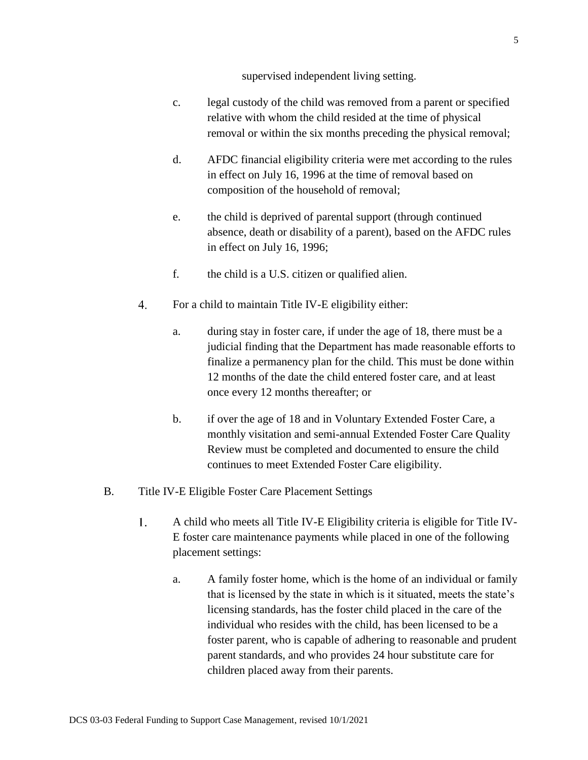supervised independent living setting.

- c. legal custody of the child was removed from a parent or specified relative with whom the child resided at the time of physical removal or within the six months preceding the physical removal;
- d. AFDC financial eligibility criteria were met according to the rules in effect on July 16, 1996 at the time of removal based on composition of the household of removal;
- e. the child is deprived of parental support (through continued absence, death or disability of a parent), based on the AFDC rules in effect on July 16, 1996;
- f. the child is a U.S. citizen or qualified alien.
- 4. For a child to maintain Title IV-E eligibility either:
	- a. during stay in foster care, if under the age of 18, there must be a judicial finding that the Department has made reasonable efforts to finalize a permanency plan for the child. This must be done within 12 months of the date the child entered foster care, and at least once every 12 months thereafter; or
	- b. if over the age of 18 and in Voluntary Extended Foster Care, a monthly visitation and semi-annual Extended Foster Care Quality Review must be completed and documented to ensure the child continues to meet Extended Foster Care eligibility.
- B. Title IV-E Eligible Foster Care Placement Settings
	- $1<sub>1</sub>$ A child who meets all Title IV-E Eligibility criteria is eligible for Title IV-E foster care maintenance payments while placed in one of the following placement settings:
		- a. A family foster home, which is the home of an individual or family that is licensed by the state in which is it situated, meets the state's licensing standards, has the foster child placed in the care of the individual who resides with the child, has been licensed to be a foster parent, who is capable of adhering to reasonable and prudent parent standards, and who provides 24 hour substitute care for children placed away from their parents.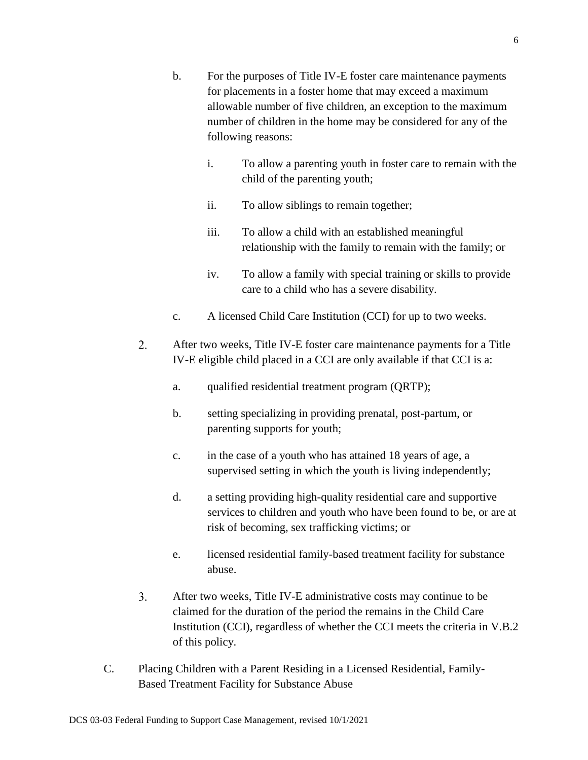- b. For the purposes of Title IV-E foster care maintenance payments for placements in a foster home that may exceed a maximum allowable number of five children, an exception to the maximum number of children in the home may be considered for any of the following reasons:
	- i. To allow a parenting youth in foster care to remain with the child of the parenting youth;
	- ii. To allow siblings to remain together;
	- iii. To allow a child with an established meaningful relationship with the family to remain with the family; or
	- iv. To allow a family with special training or skills to provide care to a child who has a severe disability.
- c. A licensed Child Care Institution (CCI) for up to two weeks.
- $2.$ After two weeks, Title IV-E foster care maintenance payments for a Title IV-E eligible child placed in a CCI are only available if that CCI is a:
	- a. qualified residential treatment program (QRTP);
	- b. setting specializing in providing prenatal, post-partum, or parenting supports for youth;
	- c. in the case of a youth who has attained 18 years of age, a supervised setting in which the youth is living independently;
	- d. a setting providing high-quality residential care and supportive services to children and youth who have been found to be, or are at risk of becoming, sex trafficking victims; or
	- e. licensed residential family-based treatment facility for substance abuse.
- $3.$ After two weeks, Title IV-E administrative costs may continue to be claimed for the duration of the period the remains in the Child Care Institution (CCI), regardless of whether the CCI meets the criteria in V.B.2 of this policy.
- C. Placing Children with a Parent Residing in a Licensed Residential, Family-Based Treatment Facility for Substance Abuse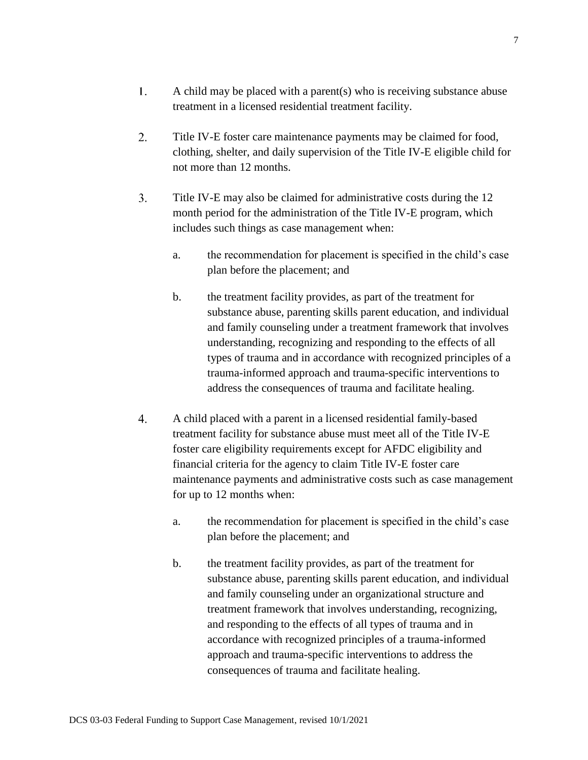- $1.$ A child may be placed with a parent(s) who is receiving substance abuse treatment in a licensed residential treatment facility.
- $2.$ Title IV-E foster care maintenance payments may be claimed for food, clothing, shelter, and daily supervision of the Title IV-E eligible child for not more than 12 months.
- $3.$ Title IV-E may also be claimed for administrative costs during the 12 month period for the administration of the Title IV-E program, which includes such things as case management when:
	- a. the recommendation for placement is specified in the child's case plan before the placement; and
	- b. the treatment facility provides, as part of the treatment for substance abuse, parenting skills parent education, and individual and family counseling under a treatment framework that involves understanding, recognizing and responding to the effects of all types of trauma and in accordance with recognized principles of a trauma-informed approach and trauma-specific interventions to address the consequences of trauma and facilitate healing.
- $4.$ A child placed with a parent in a licensed residential family-based treatment facility for substance abuse must meet all of the Title IV-E foster care eligibility requirements except for AFDC eligibility and financial criteria for the agency to claim Title IV-E foster care maintenance payments and administrative costs such as case management for up to 12 months when:
	- a. the recommendation for placement is specified in the child's case plan before the placement; and
	- b. the treatment facility provides, as part of the treatment for substance abuse, parenting skills parent education, and individual and family counseling under an organizational structure and treatment framework that involves understanding, recognizing, and responding to the effects of all types of trauma and in accordance with recognized principles of a trauma-informed approach and trauma-specific interventions to address the consequences of trauma and facilitate healing.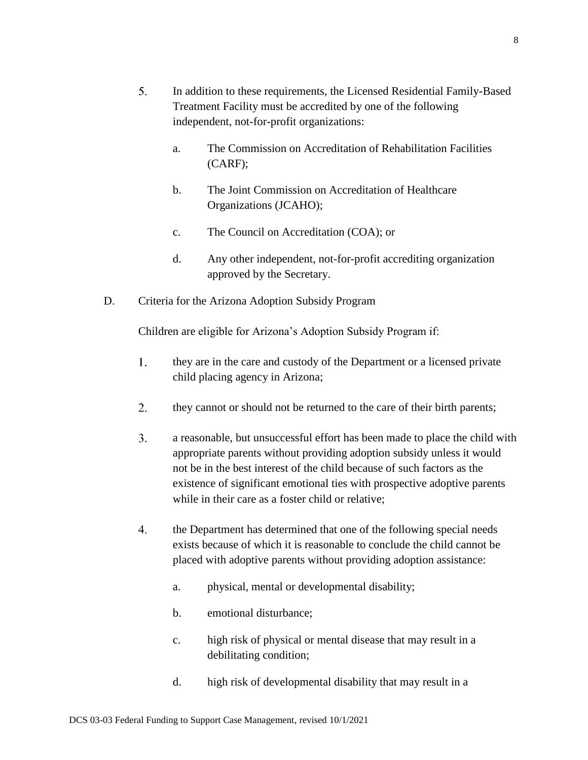- $5.$ In addition to these requirements, the Licensed Residential Family-Based Treatment Facility must be accredited by one of the following independent, not-for-profit organizations:
	- a. The Commission on Accreditation of Rehabilitation Facilities (CARF);
	- b. The Joint Commission on Accreditation of Healthcare Organizations (JCAHO);
	- c. The Council on Accreditation (COA); or
	- d. Any other independent, not-for-profit accrediting organization approved by the Secretary.
- D. Criteria for the Arizona Adoption Subsidy Program

Children are eligible for Arizona's Adoption Subsidy Program if:

- $1<sub>1</sub>$ they are in the care and custody of the Department or a licensed private child placing agency in Arizona;
- $2.$ they cannot or should not be returned to the care of their birth parents;
- $3.$ a reasonable, but unsuccessful effort has been made to place the child with appropriate parents without providing adoption subsidy unless it would not be in the best interest of the child because of such factors as the existence of significant emotional ties with prospective adoptive parents while in their care as a foster child or relative;
- $\overline{4}$ . the Department has determined that one of the following special needs exists because of which it is reasonable to conclude the child cannot be placed with adoptive parents without providing adoption assistance:
	- a. physical, mental or developmental disability;
	- b. emotional disturbance;
	- c. high risk of physical or mental disease that may result in a debilitating condition;
	- d. high risk of developmental disability that may result in a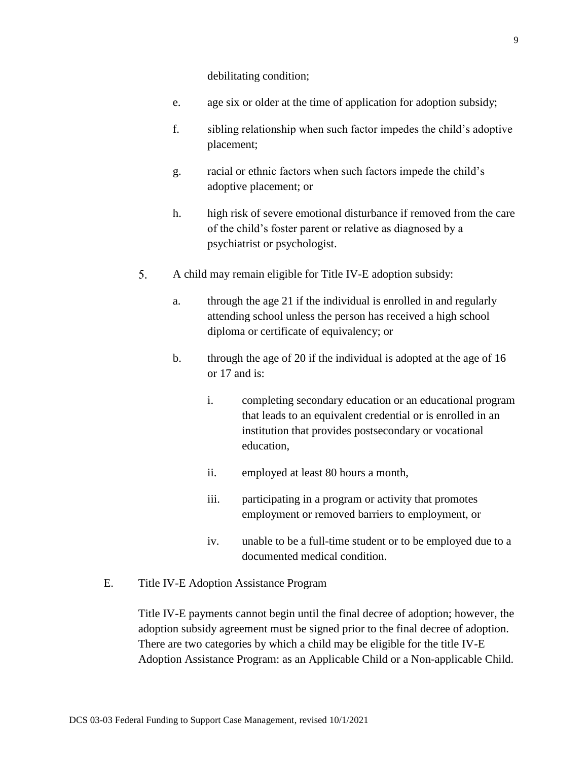debilitating condition;

- e. age six or older at the time of application for adoption subsidy;
- f. sibling relationship when such factor impedes the child's adoptive placement;
- g. racial or ethnic factors when such factors impede the child's adoptive placement; or
- h. high risk of severe emotional disturbance if removed from the care of the child's foster parent or relative as diagnosed by a psychiatrist or psychologist.
- 5. A child may remain eligible for Title IV-E adoption subsidy:
	- a. through the age 21 if the individual is enrolled in and regularly attending school unless the person has received a high school diploma or certificate of equivalency; or
	- b. through the age of 20 if the individual is adopted at the age of 16 or 17 and is:
		- i. completing secondary education or an educational program that leads to an equivalent credential or is enrolled in an institution that provides postsecondary or vocational education,
		- ii. employed at least 80 hours a month,
		- iii. participating in a program or activity that promotes employment or removed barriers to employment, or
		- iv. unable to be a full-time student or to be employed due to a documented medical condition.
- E. Title IV-E Adoption Assistance Program

Title IV-E payments cannot begin until the final decree of adoption; however, the adoption subsidy agreement must be signed prior to the final decree of adoption. There are two categories by which a child may be eligible for the title IV-E Adoption Assistance Program: as an Applicable Child or a Non-applicable Child.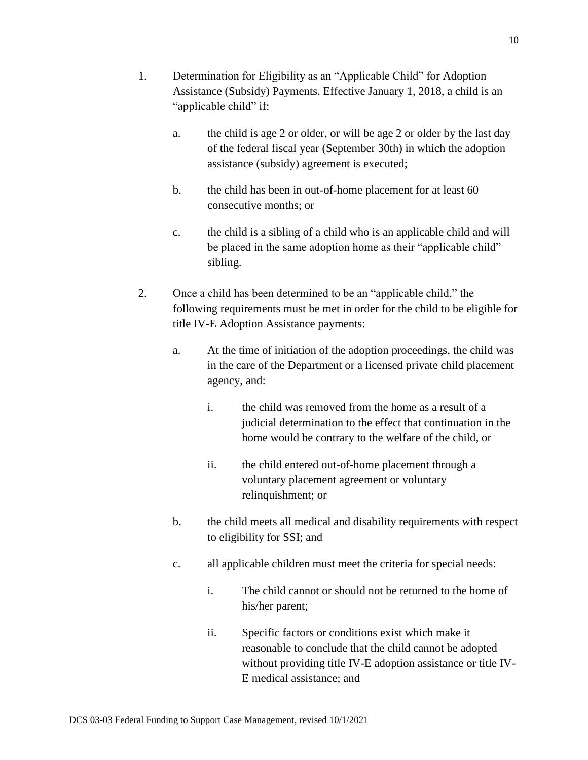- 1. Determination for Eligibility as an "Applicable Child" for Adoption Assistance (Subsidy) Payments. Effective January 1, 2018, a child is an "applicable child" if:
	- a. the child is age 2 or older, or will be age 2 or older by the last day of the federal fiscal year (September 30th) in which the adoption assistance (subsidy) agreement is executed;
	- b. the child has been in out-of-home placement for at least 60 consecutive months; or
	- c. the child is a sibling of a child who is an applicable child and will be placed in the same adoption home as their "applicable child" sibling.
- 2. Once a child has been determined to be an "applicable child," the following requirements must be met in order for the child to be eligible for title IV-E Adoption Assistance payments:
	- a. At the time of initiation of the adoption proceedings, the child was in the care of the Department or a licensed private child placement agency, and:
		- i. the child was removed from the home as a result of a judicial determination to the effect that continuation in the home would be contrary to the welfare of the child, or
		- ii. the child entered out-of-home placement through a voluntary placement agreement or voluntary relinquishment; or
	- b. the child meets all medical and disability requirements with respect to eligibility for SSI; and
	- c. all applicable children must meet the criteria for special needs:
		- i. The child cannot or should not be returned to the home of his/her parent;
		- ii. Specific factors or conditions exist which make it reasonable to conclude that the child cannot be adopted without providing title IV-E adoption assistance or title IV-E medical assistance; and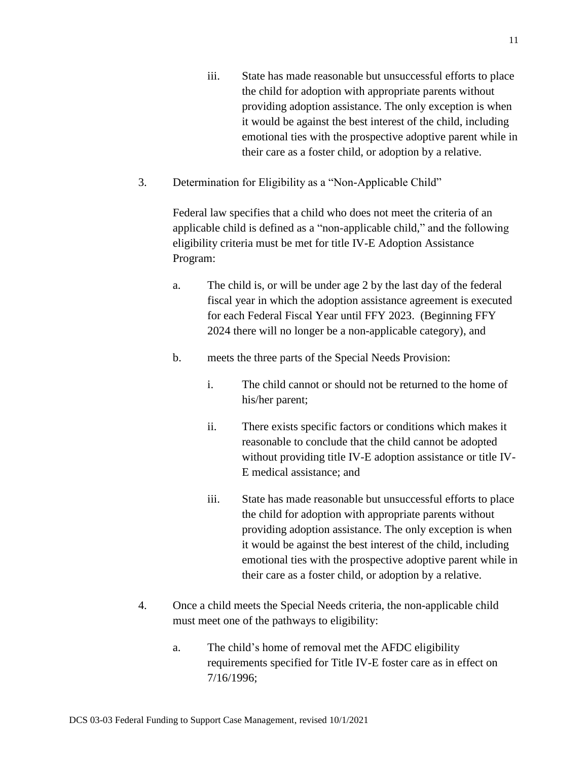- iii. State has made reasonable but unsuccessful efforts to place the child for adoption with appropriate parents without providing adoption assistance. The only exception is when it would be against the best interest of the child, including emotional ties with the prospective adoptive parent while in their care as a foster child, or adoption by a relative.
- 3. Determination for Eligibility as a "Non-Applicable Child"

Federal law specifies that a child who does not meet the criteria of an applicable child is defined as a "non-applicable child," and the following eligibility criteria must be met for title IV-E Adoption Assistance Program:

- a. The child is, or will be under age 2 by the last day of the federal fiscal year in which the adoption assistance agreement is executed for each Federal Fiscal Year until FFY 2023. (Beginning FFY 2024 there will no longer be a non-applicable category), and
- b. meets the three parts of the Special Needs Provision:
	- i. The child cannot or should not be returned to the home of his/her parent;
	- ii. There exists specific factors or conditions which makes it reasonable to conclude that the child cannot be adopted without providing title IV-E adoption assistance or title IV-E medical assistance; and
	- iii. State has made reasonable but unsuccessful efforts to place the child for adoption with appropriate parents without providing adoption assistance. The only exception is when it would be against the best interest of the child, including emotional ties with the prospective adoptive parent while in their care as a foster child, or adoption by a relative.
- 4. Once a child meets the Special Needs criteria, the non-applicable child must meet one of the pathways to eligibility:
	- a. The child's home of removal met the AFDC eligibility requirements specified for Title IV-E foster care as in effect on 7/16/1996;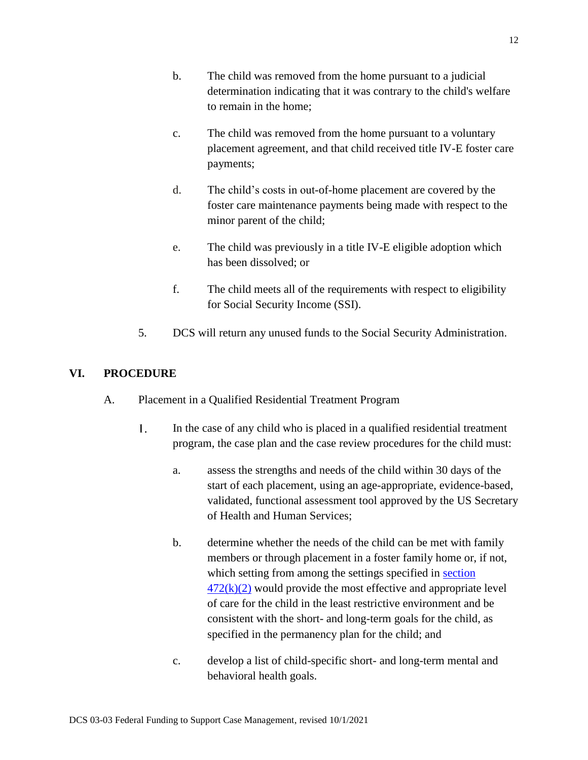- b. The child was removed from the home pursuant to a judicial determination indicating that it was contrary to the child's welfare to remain in the home;
- c. The child was removed from the home pursuant to a voluntary placement agreement, and that child received title IV-E foster care payments;
- d. The child's costs in out-of-home placement are covered by the foster care maintenance payments being made with respect to the minor parent of the child;
- e. The child was previously in a title IV-E eligible adoption which has been dissolved; or
- f. The child meets all of the requirements with respect to eligibility for Social Security Income (SSI).
- 5. DCS will return any unused funds to the Social Security Administration.

# **VI. PROCEDURE**

- A. Placement in a Qualified Residential Treatment Program
	- $1<sub>1</sub>$ In the case of any child who is placed in a qualified residential treatment program, the case plan and the case review procedures for the child must:
		- a. assess the strengths and needs of the child within 30 days of the start of each placement, using an age-appropriate, evidence-based, validated, functional assessment tool approved by the US Secretary of Health and Human Services;
		- b. determine whether the needs of the child can be met with family members or through placement in a foster family home or, if not, which setting from among the settings specified in [section](https://www.ssa.gov/OP_Home/ssact/title04/0472.htm)   $472(k)(2)$  would provide the most effective and appropriate level of care for the child in the least restrictive environment and be consistent with the short- and long-term goals for the child, as specified in the permanency plan for the child; and
		- c. develop a list of child-specific short- and long-term mental and behavioral health goals.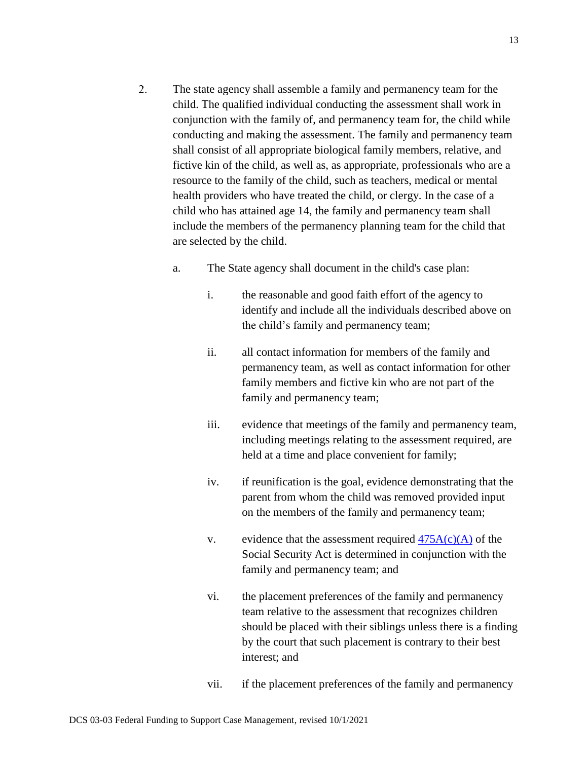- $2.$ The state agency shall assemble a family and permanency team for the child. The qualified individual conducting the assessment shall work in conjunction with the family of, and permanency team for, the child while conducting and making the assessment. The family and permanency team shall consist of all appropriate biological family members, relative, and fictive kin of the child, as well as, as appropriate, professionals who are a resource to the family of the child, such as teachers, medical or mental health providers who have treated the child, or clergy. In the case of a child who has attained age 14, the family and permanency team shall include the members of the permanency planning team for the child that are selected by the child.
	- a. The State agency shall document in the child's case plan:
		- i. the reasonable and good faith effort of the agency to identify and include all the individuals described above on the child's family and permanency team;
		- ii. all contact information for members of the family and permanency team, as well as contact information for other family members and fictive kin who are not part of the family and permanency team;
		- iii. evidence that meetings of the family and permanency team, including meetings relating to the assessment required, are held at a time and place convenient for family;
		- iv. if reunification is the goal, evidence demonstrating that the parent from whom the child was removed provided input on the members of the family and permanency team;
		- v. evidence that the assessment required  $475A(c)(A)$  of the Social Security Act is determined in conjunction with the family and permanency team; and
		- vi. the placement preferences of the family and permanency team relative to the assessment that recognizes children should be placed with their siblings unless there is a finding by the court that such placement is contrary to their best interest; and
		- vii. if the placement preferences of the family and permanency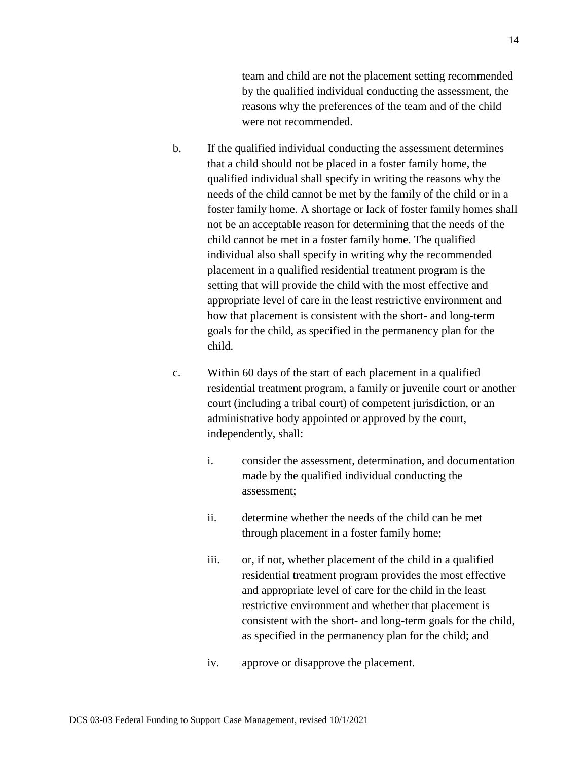team and child are not the placement setting recommended by the qualified individual conducting the assessment, the reasons why the preferences of the team and of the child were not recommended.

- b. If the qualified individual conducting the assessment determines that a child should not be placed in a foster family home, the qualified individual shall specify in writing the reasons why the needs of the child cannot be met by the family of the child or in a foster family home. A shortage or lack of foster family homes shall not be an acceptable reason for determining that the needs of the child cannot be met in a foster family home. The qualified individual also shall specify in writing why the recommended placement in a qualified residential treatment program is the setting that will provide the child with the most effective and appropriate level of care in the least restrictive environment and how that placement is consistent with the short- and long-term goals for the child, as specified in the permanency plan for the child.
- c. Within 60 days of the start of each placement in a qualified residential treatment program, a family or juvenile court or another court (including a tribal court) of competent jurisdiction, or an administrative body appointed or approved by the court, independently, shall:
	- i. consider the assessment, determination, and documentation made by the qualified individual conducting the assessment;
	- ii. determine whether the needs of the child can be met through placement in a foster family home;
	- iii. or, if not, whether placement of the child in a qualified residential treatment program provides the most effective and appropriate level of care for the child in the least restrictive environment and whether that placement is consistent with the short- and long-term goals for the child, as specified in the permanency plan for the child; and
	- iv. approve or disapprove the placement.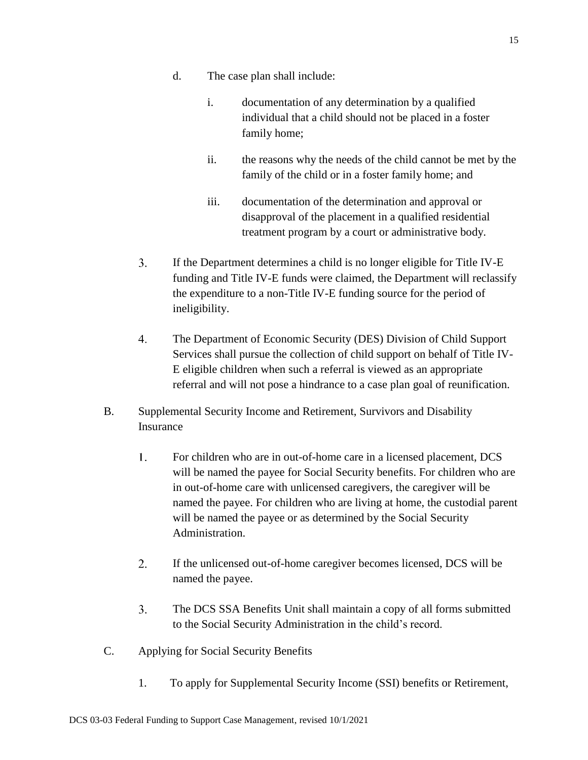- d. The case plan shall include:
	- i. documentation of any determination by a qualified individual that a child should not be placed in a foster family home;
	- ii. the reasons why the needs of the child cannot be met by the family of the child or in a foster family home; and
	- iii. documentation of the determination and approval or disapproval of the placement in a qualified residential treatment program by a court or administrative body.
- $3.$ If the Department determines a child is no longer eligible for Title IV-E funding and Title IV-E funds were claimed, the Department will reclassify the expenditure to a non-Title IV-E funding source for the period of ineligibility.
- $\overline{4}$ . The Department of Economic Security (DES) Division of Child Support Services shall pursue the collection of child support on behalf of Title IV-E eligible children when such a referral is viewed as an appropriate referral and will not pose a hindrance to a case plan goal of reunification.
- B. Supplemental Security Income and Retirement, Survivors and Disability Insurance
	- $1<sub>1</sub>$ For children who are in out-of-home care in a licensed placement, DCS will be named the payee for Social Security benefits. For children who are in out-of-home care with unlicensed caregivers, the caregiver will be named the payee. For children who are living at home, the custodial parent will be named the payee or as determined by the Social Security Administration.
	- $2.$ If the unlicensed out-of-home caregiver becomes licensed, DCS will be named the payee.
	- $3<sub>1</sub>$ The DCS SSA Benefits Unit shall maintain a copy of all forms submitted to the Social Security Administration in the child's record.
- C. Applying for Social Security Benefits
	- 1. To apply for Supplemental Security Income (SSI) benefits or Retirement,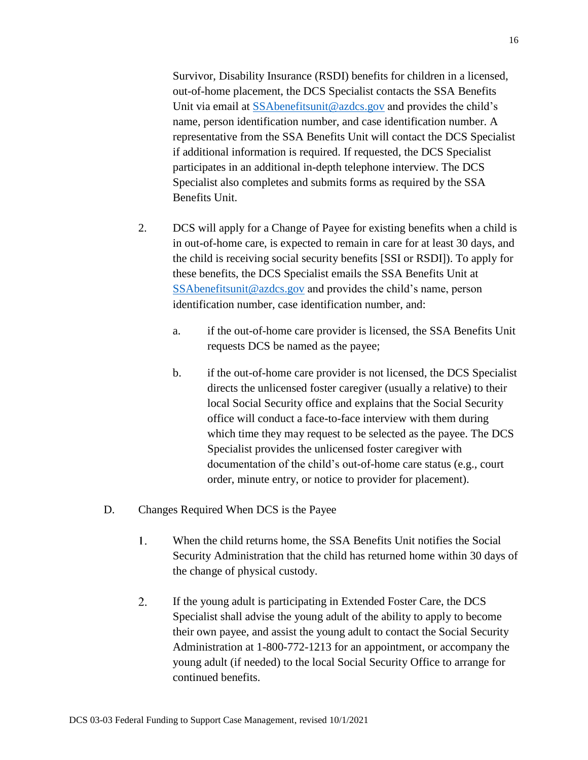Survivor, Disability Insurance (RSDI) benefits for children in a licensed, out-of-home placement, the DCS Specialist contacts the SSA Benefits Unit via email at [SSAbenefitsunit@azdcs.gov](mailto:SSAbenefitsunit@azdcs.gov) and provides the child's name, person identification number, and case identification number. A representative from the SSA Benefits Unit will contact the DCS Specialist if additional information is required. If requested, the DCS Specialist participates in an additional in-depth telephone interview. The DCS Specialist also completes and submits forms as required by the SSA Benefits Unit.

- 2. DCS will apply for a Change of Payee for existing benefits when a child is in out-of-home care, is expected to remain in care for at least 30 days, and the child is receiving social security benefits [SSI or RSDI]). To apply for these benefits, the DCS Specialist emails the SSA Benefits Unit at [SSAbenefitsunit@azdcs.gov](mailto:SSAbenefitsunit@azdcs.gov) and provides the child's name, person identification number, case identification number, and:
	- a. if the out-of-home care provider is licensed, the SSA Benefits Unit requests DCS be named as the payee;
	- b. if the out-of-home care provider is not licensed, the DCS Specialist directs the unlicensed foster caregiver (usually a relative) to their local Social Security office and explains that the Social Security office will conduct a face-to-face interview with them during which time they may request to be selected as the payee. The DCS Specialist provides the unlicensed foster caregiver with documentation of the child's out-of-home care status (e.g., court order, minute entry, or notice to provider for placement).
- D. Changes Required When DCS is the Payee
	- $1<sub>1</sub>$ When the child returns home, the SSA Benefits Unit notifies the Social Security Administration that the child has returned home within 30 days of the change of physical custody.
	- $2.$ If the young adult is participating in Extended Foster Care, the DCS Specialist shall advise the young adult of the ability to apply to become their own payee, and assist the young adult to contact the Social Security Administration at 1-800-772-1213 for an appointment, or accompany the young adult (if needed) to the local Social Security Office to arrange for continued benefits.